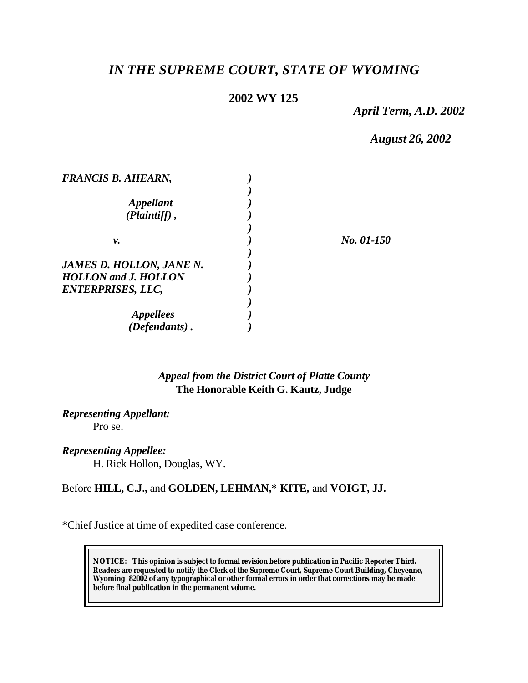# *IN THE SUPREME COURT, STATE OF WYOMING*

## **2002 WY 125**

*April Term, A.D. 2002*

*August 26, 2002*

| <b>FRANCIS B. AHEARN,</b>          |            |
|------------------------------------|------------|
|                                    |            |
| <i><b>Appellant</b></i>            |            |
| $(Plaintiff)$ ,                    |            |
|                                    |            |
| ν.                                 | No. 01-150 |
|                                    |            |
| <b>JAMES D. HOLLON, JANE N.</b>    |            |
| <b>HOLLON</b> and <b>J. HOLLON</b> |            |
| <b>ENTERPRISES, LLC,</b>           |            |
|                                    |            |
| <i>Appellees</i>                   |            |
| (Defendants).                      |            |

## *Appeal from the District Court of Platte County* **The Honorable Keith G. Kautz, Judge**

*Representing Appellant:* Pro se.

*Representing Appellee:*

H. Rick Hollon, Douglas, WY.

Before **HILL, C.J.,** and **GOLDEN, LEHMAN,\* KITE,** and **VOIGT, JJ.**

\*Chief Justice at time of expedited case conference.

**NOTICE:** *This opinion is subject to formal revision before publication in Pacific Reporter Third. Readers are requested to notify the Clerk of the Supreme Court, Supreme Court Building, Cheyenne, Wyoming 82002 of any typographical or other formal errors in order that corrections may be made before final publication in the permanent volume.*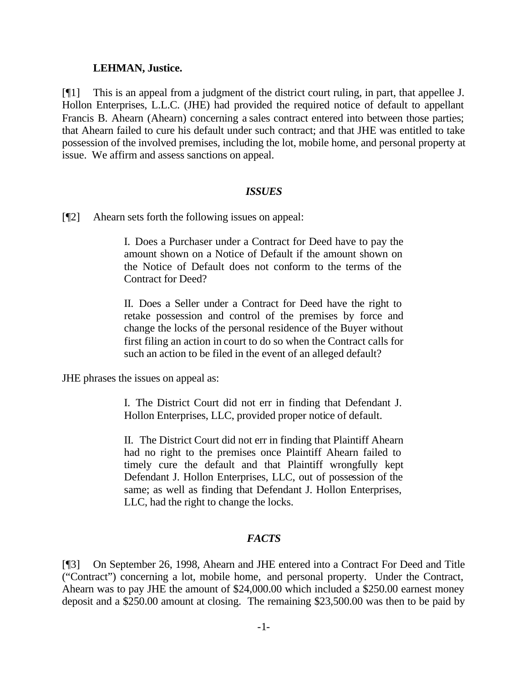#### **LEHMAN, Justice.**

[¶1] This is an appeal from a judgment of the district court ruling, in part, that appellee J. Hollon Enterprises, L.L.C. (JHE) had provided the required notice of default to appellant Francis B. Ahearn (Ahearn) concerning a sales contract entered into between those parties; that Ahearn failed to cure his default under such contract; and that JHE was entitled to take possession of the involved premises, including the lot, mobile home, and personal property at issue. We affirm and assess sanctions on appeal.

#### *ISSUES*

[¶2] Ahearn sets forth the following issues on appeal:

I. Does a Purchaser under a Contract for Deed have to pay the amount shown on a Notice of Default if the amount shown on the Notice of Default does not conform to the terms of the Contract for Deed?

II. Does a Seller under a Contract for Deed have the right to retake possession and control of the premises by force and change the locks of the personal residence of the Buyer without first filing an action in court to do so when the Contract calls for such an action to be filed in the event of an alleged default?

JHE phrases the issues on appeal as:

I. The District Court did not err in finding that Defendant J. Hollon Enterprises, LLC, provided proper notice of default.

II. The District Court did not err in finding that Plaintiff Ahearn had no right to the premises once Plaintiff Ahearn failed to timely cure the default and that Plaintiff wrongfully kept Defendant J. Hollon Enterprises, LLC, out of possession of the same; as well as finding that Defendant J. Hollon Enterprises, LLC, had the right to change the locks.

### *FACTS*

[¶3] On September 26, 1998, Ahearn and JHE entered into a Contract For Deed and Title ("Contract") concerning a lot, mobile home, and personal property. Under the Contract, Ahearn was to pay JHE the amount of \$24,000.00 which included a \$250.00 earnest money deposit and a \$250.00 amount at closing. The remaining \$23,500.00 was then to be paid by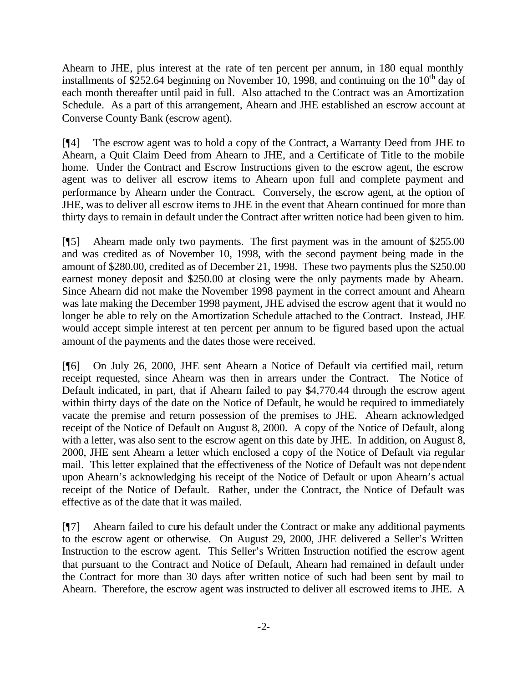Ahearn to JHE, plus interest at the rate of ten percent per annum, in 180 equal monthly installments of \$252.64 beginning on November 10, 1998, and continuing on the  $10<sup>th</sup>$  day of each month thereafter until paid in full. Also attached to the Contract was an Amortization Schedule. As a part of this arrangement, Ahearn and JHE established an escrow account at Converse County Bank (escrow agent).

[¶4] The escrow agent was to hold a copy of the Contract, a Warranty Deed from JHE to Ahearn, a Quit Claim Deed from Ahearn to JHE, and a Certificate of Title to the mobile home. Under the Contract and Escrow Instructions given to the escrow agent, the escrow agent was to deliver all escrow items to Ahearn upon full and complete payment and performance by Ahearn under the Contract. Conversely, the escrow agent, at the option of JHE, was to deliver all escrow items to JHE in the event that Ahearn continued for more than thirty days to remain in default under the Contract after written notice had been given to him.

[¶5] Ahearn made only two payments. The first payment was in the amount of \$255.00 and was credited as of November 10, 1998, with the second payment being made in the amount of \$280.00, credited as of December 21, 1998. These two payments plus the \$250.00 earnest money deposit and \$250.00 at closing were the only payments made by Ahearn. Since Ahearn did not make the November 1998 payment in the correct amount and Ahearn was late making the December 1998 payment, JHE advised the escrow agent that it would no longer be able to rely on the Amortization Schedule attached to the Contract. Instead, JHE would accept simple interest at ten percent per annum to be figured based upon the actual amount of the payments and the dates those were received.

[¶6] On July 26, 2000, JHE sent Ahearn a Notice of Default via certified mail, return receipt requested, since Ahearn was then in arrears under the Contract. The Notice of Default indicated, in part, that if Ahearn failed to pay \$4,770.44 through the escrow agent within thirty days of the date on the Notice of Default, he would be required to immediately vacate the premise and return possession of the premises to JHE. Ahearn acknowledged receipt of the Notice of Default on August 8, 2000. A copy of the Notice of Default, along with a letter, was also sent to the escrow agent on this date by JHE. In addition, on August 8, 2000, JHE sent Ahearn a letter which enclosed a copy of the Notice of Default via regular mail. This letter explained that the effectiveness of the Notice of Default was not dependent upon Ahearn's acknowledging his receipt of the Notice of Default or upon Ahearn's actual receipt of the Notice of Default. Rather, under the Contract, the Notice of Default was effective as of the date that it was mailed.

[¶7] Ahearn failed to cure his default under the Contract or make any additional payments to the escrow agent or otherwise. On August 29, 2000, JHE delivered a Seller's Written Instruction to the escrow agent. This Seller's Written Instruction notified the escrow agent that pursuant to the Contract and Notice of Default, Ahearn had remained in default under the Contract for more than 30 days after written notice of such had been sent by mail to Ahearn. Therefore, the escrow agent was instructed to deliver all escrowed items to JHE. A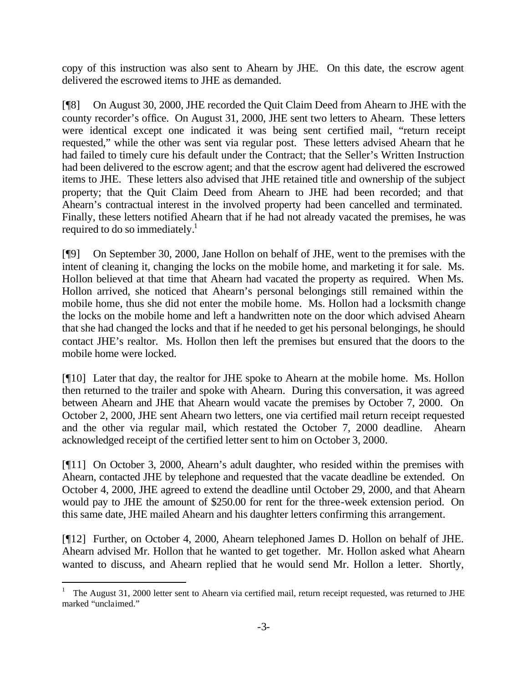copy of this instruction was also sent to Ahearn by JHE. On this date, the escrow agent delivered the escrowed items to JHE as demanded.

[¶8] On August 30, 2000, JHE recorded the Quit Claim Deed from Ahearn to JHE with the county recorder's office. On August 31, 2000, JHE sent two letters to Ahearn. These letters were identical except one indicated it was being sent certified mail, "return receipt requested," while the other was sent via regular post. These letters advised Ahearn that he had failed to timely cure his default under the Contract; that the Seller's Written Instruction had been delivered to the escrow agent; and that the escrow agent had delivered the escrowed items to JHE. These letters also advised that JHE retained title and ownership of the subject property; that the Quit Claim Deed from Ahearn to JHE had been recorded; and that Ahearn's contractual interest in the involved property had been cancelled and terminated. Finally, these letters notified Ahearn that if he had not already vacated the premises, he was required to do so immediately. $<sup>1</sup>$ </sup>

[¶9] On September 30, 2000, Jane Hollon on behalf of JHE, went to the premises with the intent of cleaning it, changing the locks on the mobile home, and marketing it for sale. Ms. Hollon believed at that time that Ahearn had vacated the property as required. When Ms. Hollon arrived, she noticed that Ahearn's personal belongings still remained within the mobile home, thus she did not enter the mobile home. Ms. Hollon had a locksmith change the locks on the mobile home and left a handwritten note on the door which advised Ahearn that she had changed the locks and that if he needed to get his personal belongings, he should contact JHE's realtor. Ms. Hollon then left the premises but ensured that the doors to the mobile home were locked.

[¶10] Later that day, the realtor for JHE spoke to Ahearn at the mobile home. Ms. Hollon then returned to the trailer and spoke with Ahearn. During this conversation, it was agreed between Ahearn and JHE that Ahearn would vacate the premises by October 7, 2000. On October 2, 2000, JHE sent Ahearn two letters, one via certified mail return receipt requested and the other via regular mail, which restated the October 7, 2000 deadline. Ahearn acknowledged receipt of the certified letter sent to him on October 3, 2000.

[¶11] On October 3, 2000, Ahearn's adult daughter, who resided within the premises with Ahearn, contacted JHE by telephone and requested that the vacate deadline be extended. On October 4, 2000, JHE agreed to extend the deadline until October 29, 2000, and that Ahearn would pay to JHE the amount of \$250.00 for rent for the three-week extension period. On this same date, JHE mailed Ahearn and his daughter letters confirming this arrangement.

[¶12] Further, on October 4, 2000, Ahearn telephoned James D. Hollon on behalf of JHE. Ahearn advised Mr. Hollon that he wanted to get together. Mr. Hollon asked what Ahearn wanted to discuss, and Ahearn replied that he would send Mr. Hollon a letter. Shortly,

l

<sup>1</sup> The August 31, 2000 letter sent to Ahearn via certified mail, return receipt requested, was returned to JHE marked "unclaimed."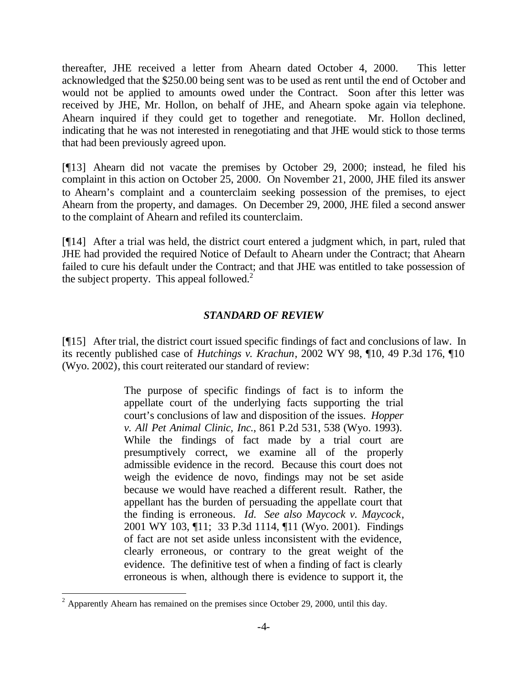thereafter, JHE received a letter from Ahearn dated October 4, 2000. This letter acknowledged that the \$250.00 being sent was to be used as rent until the end of October and would not be applied to amounts owed under the Contract. Soon after this letter was received by JHE, Mr. Hollon, on behalf of JHE, and Ahearn spoke again via telephone. Ahearn inquired if they could get to together and renegotiate. Mr. Hollon declined, indicating that he was not interested in renegotiating and that JHE would stick to those terms that had been previously agreed upon.

[¶13] Ahearn did not vacate the premises by October 29, 2000; instead, he filed his complaint in this action on October 25, 2000. On November 21, 2000, JHE filed its answer to Ahearn's complaint and a counterclaim seeking possession of the premises, to eject Ahearn from the property, and damages. On December 29, 2000, JHE filed a second answer to the complaint of Ahearn and refiled its counterclaim.

[¶14] After a trial was held, the district court entered a judgment which, in part, ruled that JHE had provided the required Notice of Default to Ahearn under the Contract; that Ahearn failed to cure his default under the Contract; and that JHE was entitled to take possession of the subject property. This appeal followed. $2^2$ 

## *STANDARD OF REVIEW*

[¶15] After trial, the district court issued specific findings of fact and conclusions of law. In its recently published case of *Hutchings v. Krachun*, 2002 WY 98, ¶10, 49 P.3d 176, ¶10 (Wyo. 2002), this court reiterated our standard of review:

> The purpose of specific findings of fact is to inform the appellate court of the underlying facts supporting the trial court's conclusions of law and disposition of the issues. *Hopper v. All Pet Animal Clinic, Inc.*, 861 P.2d 531, 538 (Wyo. 1993). While the findings of fact made by a trial court are presumptively correct, we examine all of the properly admissible evidence in the record. Because this court does not weigh the evidence de novo, findings may not be set aside because we would have reached a different result. Rather, the appellant has the burden of persuading the appellate court that the finding is erroneous. *Id. See also Maycock v. Maycock*, 2001 WY 103, ¶11; 33 P.3d 1114, ¶11 (Wyo. 2001). Findings of fact are not set aside unless inconsistent with the evidence, clearly erroneous, or contrary to the great weight of the evidence. The definitive test of when a finding of fact is clearly erroneous is when, although there is evidence to support it, the

l

 $2^2$  Apparently Ahearn has remained on the premises since October 29, 2000, until this day.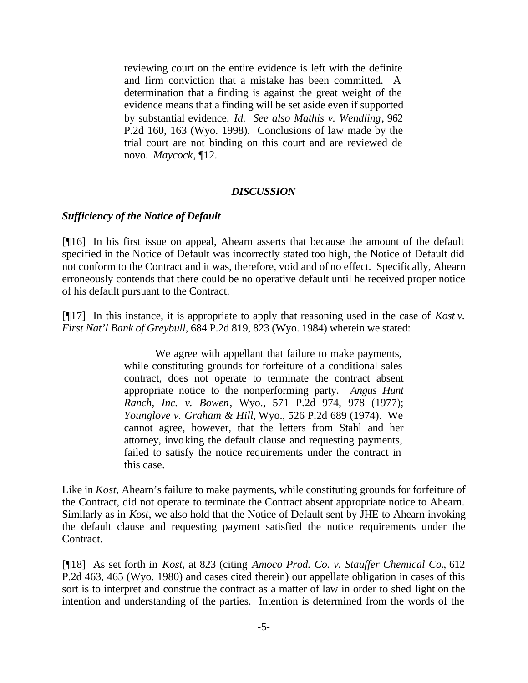reviewing court on the entire evidence is left with the definite and firm conviction that a mistake has been committed. A determination that a finding is against the great weight of the evidence means that a finding will be set aside even if supported by substantial evidence. *Id. See also Mathis v. Wendling*, 962 P.2d 160, 163 (Wyo. 1998). Conclusions of law made by the trial court are not binding on this court and are reviewed de novo. *Maycock*, ¶12.

#### *DISCUSSION*

#### *Sufficiency of the Notice of Default*

[¶16] In his first issue on appeal, Ahearn asserts that because the amount of the default specified in the Notice of Default was incorrectly stated too high, the Notice of Default did not conform to the Contract and it was, therefore, void and of no effect. Specifically, Ahearn erroneously contends that there could be no operative default until he received proper notice of his default pursuant to the Contract.

[¶17] In this instance, it is appropriate to apply that reasoning used in the case of *Kost v. First Nat'l Bank of Greybull*, 684 P.2d 819, 823 (Wyo. 1984) wherein we stated:

> We agree with appellant that failure to make payments, while constituting grounds for forfeiture of a conditional sales contract, does not operate to terminate the contract absent appropriate notice to the nonperforming party. *Angus Hunt Ranch, Inc. v. Bowen*, Wyo., 571 P.2d 974, 978 (1977); *Younglove v. Graham & Hill,* Wyo., 526 P.2d 689 (1974). We cannot agree, however, that the letters from Stahl and her attorney, invoking the default clause and requesting payments, failed to satisfy the notice requirements under the contract in this case.

Like in *Kost*, Ahearn's failure to make payments, while constituting grounds for forfeiture of the Contract, did not operate to terminate the Contract absent appropriate notice to Ahearn. Similarly as in *Kost*, we also hold that the Notice of Default sent by JHE to Ahearn invoking the default clause and requesting payment satisfied the notice requirements under the Contract.

[¶18] As set forth in *Kost*, at 823 (citing *Amoco Prod. Co. v. Stauffer Chemical Co.*, 612 P.2d 463, 465 (Wyo. 1980) and cases cited therein) our appellate obligation in cases of this sort is to interpret and construe the contract as a matter of law in order to shed light on the intention and understanding of the parties. Intention is determined from the words of the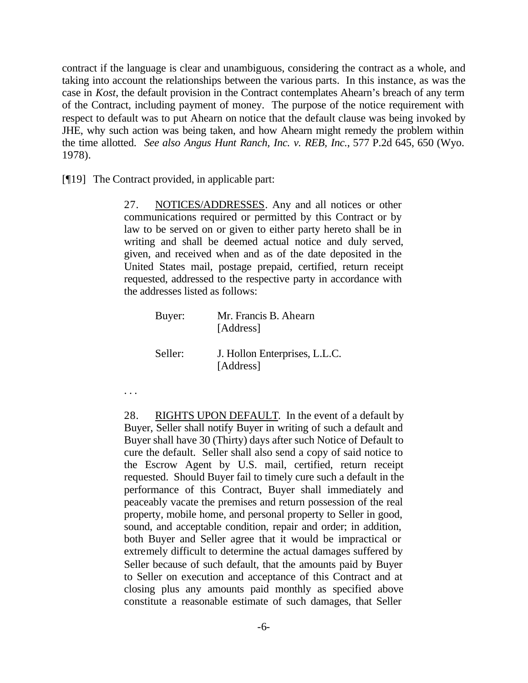contract if the language is clear and unambiguous, considering the contract as a whole, and taking into account the relationships between the various parts. In this instance, as was the case in *Kost*, the default provision in the Contract contemplates Ahearn's breach of any term of the Contract, including payment of money. The purpose of the notice requirement with respect to default was to put Ahearn on notice that the default clause was being invoked by JHE, why such action was being taken, and how Ahearn might remedy the problem within the time allotted. *See also Angus Hunt Ranch, Inc. v. REB, Inc.*, 577 P.2d 645, 650 (Wyo. 1978).

[¶19] The Contract provided, in applicable part:

27. NOTICES/ADDRESSES. Any and all notices or other communications required or permitted by this Contract or by law to be served on or given to either party hereto shall be in writing and shall be deemed actual notice and duly served, given, and received when and as of the date deposited in the United States mail, postage prepaid, certified, return receipt requested, addressed to the respective party in accordance with the addresses listed as follows:

| Buyer:  | Mr. Francis B. Ahearn<br>[Address]         |
|---------|--------------------------------------------|
| Seller: | J. Hollon Enterprises, L.L.C.<br>[Address] |

. . .

28. RIGHTS UPON DEFAULT. In the event of a default by Buyer, Seller shall notify Buyer in writing of such a default and Buyer shall have 30 (Thirty) days after such Notice of Default to cure the default. Seller shall also send a copy of said notice to the Escrow Agent by U.S. mail, certified, return receipt requested. Should Buyer fail to timely cure such a default in the performance of this Contract, Buyer shall immediately and peaceably vacate the premises and return possession of the real property, mobile home, and personal property to Seller in good, sound, and acceptable condition, repair and order; in addition, both Buyer and Seller agree that it would be impractical or extremely difficult to determine the actual damages suffered by Seller because of such default, that the amounts paid by Buyer to Seller on execution and acceptance of this Contract and at closing plus any amounts paid monthly as specified above constitute a reasonable estimate of such damages, that Seller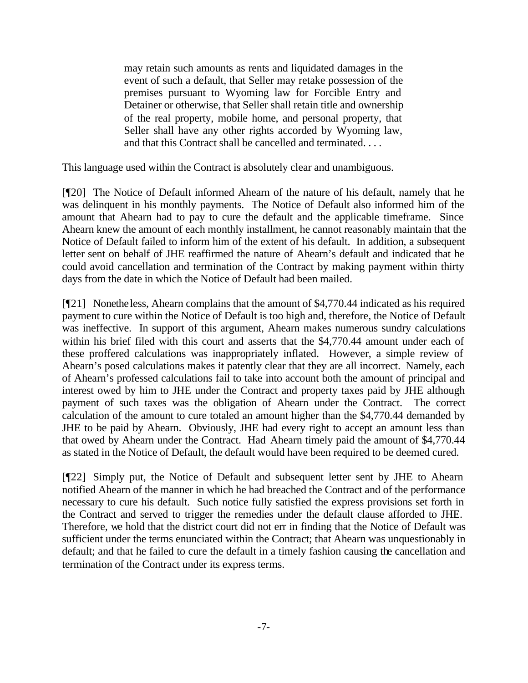may retain such amounts as rents and liquidated damages in the event of such a default, that Seller may retake possession of the premises pursuant to Wyoming law for Forcible Entry and Detainer or otherwise, that Seller shall retain title and ownership of the real property, mobile home, and personal property, that Seller shall have any other rights accorded by Wyoming law, and that this Contract shall be cancelled and terminated. . . .

This language used within the Contract is absolutely clear and unambiguous.

[¶20] The Notice of Default informed Ahearn of the nature of his default, namely that he was delinquent in his monthly payments. The Notice of Default also informed him of the amount that Ahearn had to pay to cure the default and the applicable timeframe. Since Ahearn knew the amount of each monthly installment, he cannot reasonably maintain that the Notice of Default failed to inform him of the extent of his default. In addition, a subsequent letter sent on behalf of JHE reaffirmed the nature of Ahearn's default and indicated that he could avoid cancellation and termination of the Contract by making payment within thirty days from the date in which the Notice of Default had been mailed.

[¶21] Nonetheless, Ahearn complains that the amount of \$4,770.44 indicated as his required payment to cure within the Notice of Default is too high and, therefore, the Notice of Default was ineffective. In support of this argument, Ahearn makes numerous sundry calculations within his brief filed with this court and asserts that the \$4,770.44 amount under each of these proffered calculations was inappropriately inflated. However, a simple review of Ahearn's posed calculations makes it patently clear that they are all incorrect. Namely, each of Ahearn's professed calculations fail to take into account both the amount of principal and interest owed by him to JHE under the Contract and property taxes paid by JHE although payment of such taxes was the obligation of Ahearn under the Contract. The correct calculation of the amount to cure totaled an amount higher than the \$4,770.44 demanded by JHE to be paid by Ahearn. Obviously, JHE had every right to accept an amount less than that owed by Ahearn under the Contract. Had Ahearn timely paid the amount of \$4,770.44 as stated in the Notice of Default, the default would have been required to be deemed cured.

[¶22] Simply put, the Notice of Default and subsequent letter sent by JHE to Ahearn notified Ahearn of the manner in which he had breached the Contract and of the performance necessary to cure his default. Such notice fully satisfied the express provisions set forth in the Contract and served to trigger the remedies under the default clause afforded to JHE. Therefore, we hold that the district court did not err in finding that the Notice of Default was sufficient under the terms enunciated within the Contract; that Ahearn was unquestionably in default; and that he failed to cure the default in a timely fashion causing the cancellation and termination of the Contract under its express terms.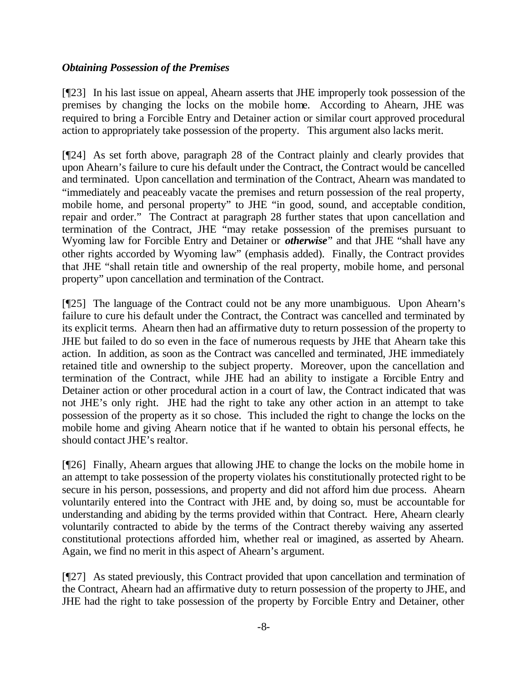## *Obtaining Possession of the Premises*

[¶23] In his last issue on appeal, Ahearn asserts that JHE improperly took possession of the premises by changing the locks on the mobile home. According to Ahearn, JHE was required to bring a Forcible Entry and Detainer action or similar court approved procedural action to appropriately take possession of the property. This argument also lacks merit.

[¶24] As set forth above, paragraph 28 of the Contract plainly and clearly provides that upon Ahearn's failure to cure his default under the Contract, the Contract would be cancelled and terminated. Upon cancellation and termination of the Contract, Ahearn was mandated to "immediately and peaceably vacate the premises and return possession of the real property, mobile home, and personal property" to JHE "in good, sound, and acceptable condition, repair and order." The Contract at paragraph 28 further states that upon cancellation and termination of the Contract, JHE "may retake possession of the premises pursuant to Wyoming law for Forcible Entry and Detainer or *otherwise*" and that JHE "shall have any other rights accorded by Wyoming law" (emphasis added). Finally, the Contract provides that JHE "shall retain title and ownership of the real property, mobile home, and personal property" upon cancellation and termination of the Contract.

[¶25] The language of the Contract could not be any more unambiguous. Upon Ahearn's failure to cure his default under the Contract, the Contract was cancelled and terminated by its explicit terms. Ahearn then had an affirmative duty to return possession of the property to JHE but failed to do so even in the face of numerous requests by JHE that Ahearn take this action. In addition, as soon as the Contract was cancelled and terminated, JHE immediately retained title and ownership to the subject property. Moreover, upon the cancellation and termination of the Contract, while JHE had an ability to instigate a Forcible Entry and Detainer action or other procedural action in a court of law, the Contract indicated that was not JHE's only right. JHE had the right to take any other action in an attempt to take possession of the property as it so chose. This included the right to change the locks on the mobile home and giving Ahearn notice that if he wanted to obtain his personal effects, he should contact JHE's realtor.

[¶26] Finally, Ahearn argues that allowing JHE to change the locks on the mobile home in an attempt to take possession of the property violates his constitutionally protected right to be secure in his person, possessions, and property and did not afford him due process. Ahearn voluntarily entered into the Contract with JHE and, by doing so, must be accountable for understanding and abiding by the terms provided within that Contract. Here, Ahearn clearly voluntarily contracted to abide by the terms of the Contract thereby waiving any asserted constitutional protections afforded him, whether real or imagined, as asserted by Ahearn. Again, we find no merit in this aspect of Ahearn's argument.

[¶27] As stated previously, this Contract provided that upon cancellation and termination of the Contract, Ahearn had an affirmative duty to return possession of the property to JHE, and JHE had the right to take possession of the property by Forcible Entry and Detainer, other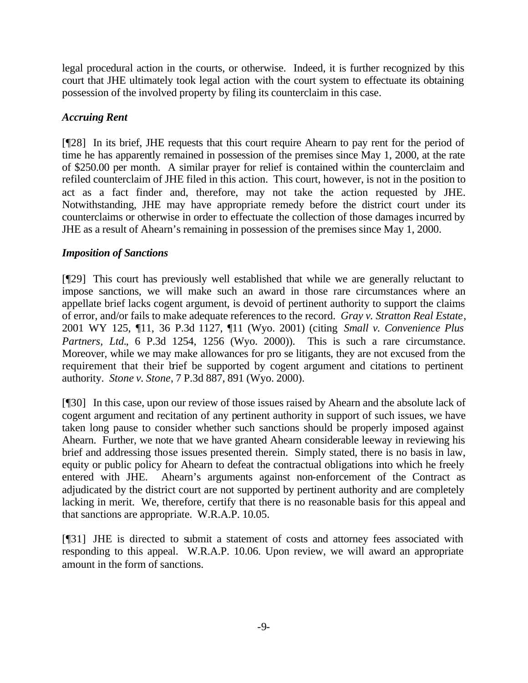legal procedural action in the courts, or otherwise. Indeed, it is further recognized by this court that JHE ultimately took legal action with the court system to effectuate its obtaining possession of the involved property by filing its counterclaim in this case.

## *Accruing Rent*

[¶28] In its brief, JHE requests that this court require Ahearn to pay rent for the period of time he has apparently remained in possession of the premises since May 1, 2000, at the rate of \$250.00 per month. A similar prayer for relief is contained within the counterclaim and refiled counterclaim of JHE filed in this action. This court, however, is not in the position to act as a fact finder and, therefore, may not take the action requested by JHE. Notwithstanding, JHE may have appropriate remedy before the district court under its counterclaims or otherwise in order to effectuate the collection of those damages incurred by JHE as a result of Ahearn's remaining in possession of the premises since May 1, 2000.

## *Imposition of Sanctions*

[¶29] This court has previously well established that while we are generally reluctant to impose sanctions, we will make such an award in those rare circumstances where an appellate brief lacks cogent argument, is devoid of pertinent authority to support the claims of error, and/or fails to make adequate references to the record. *Gray v. Stratton Real Estate*, 2001 WY 125, ¶11, 36 P.3d 1127, ¶11 (Wyo. 2001) (citing *Small v. Convenience Plus Partners, Ltd.*, 6 P.3d 1254, 1256 (Wyo. 2000)). This is such a rare circumstance. Moreover, while we may make allowances for pro se litigants, they are not excused from the requirement that their brief be supported by cogent argument and citations to pertinent authority. *Stone v. Stone*, 7 P.3d 887, 891 (Wyo. 2000).

[¶30] In this case, upon our review of those issues raised by Ahearn and the absolute lack of cogent argument and recitation of any pertinent authority in support of such issues, we have taken long pause to consider whether such sanctions should be properly imposed against Ahearn. Further, we note that we have granted Ahearn considerable leeway in reviewing his brief and addressing those issues presented therein. Simply stated, there is no basis in law, equity or public policy for Ahearn to defeat the contractual obligations into which he freely entered with JHE. Ahearn's arguments against non-enforcement of the Contract as adjudicated by the district court are not supported by pertinent authority and are completely lacking in merit. We, therefore, certify that there is no reasonable basis for this appeal and that sanctions are appropriate. W.R.A.P. 10.05.

[¶31] JHE is directed to submit a statement of costs and attorney fees associated with responding to this appeal. W.R.A.P. 10.06. Upon review, we will award an appropriate amount in the form of sanctions.